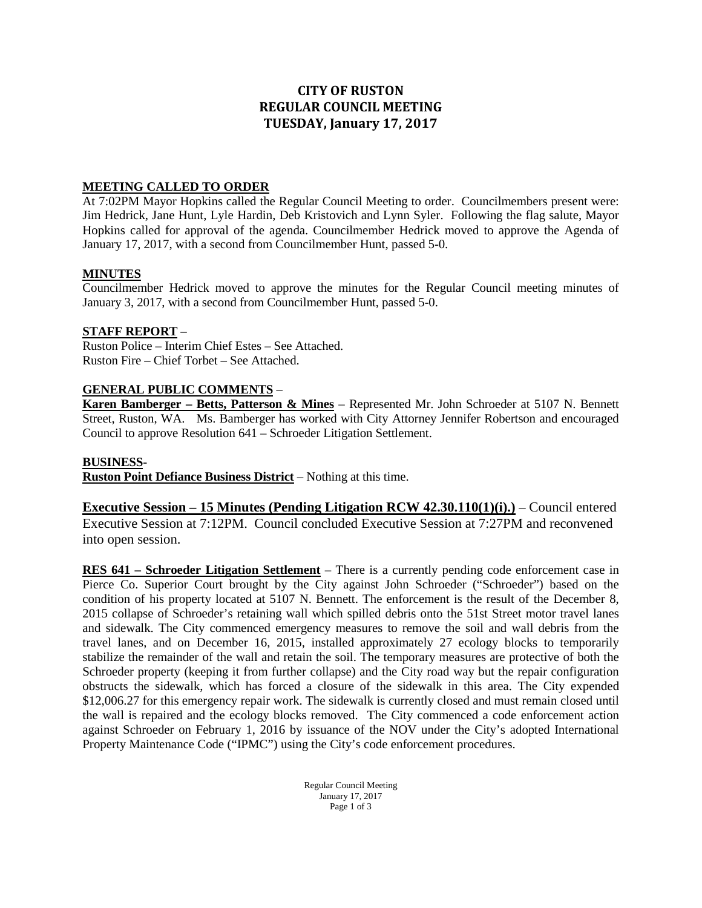## **CITY OF RUSTON REGULAR COUNCIL MEETING TUESDAY, January 17, 2017**

#### **MEETING CALLED TO ORDER**

At 7:02PM Mayor Hopkins called the Regular Council Meeting to order. Councilmembers present were: Jim Hedrick, Jane Hunt, Lyle Hardin, Deb Kristovich and Lynn Syler. Following the flag salute, Mayor Hopkins called for approval of the agenda. Councilmember Hedrick moved to approve the Agenda of January 17, 2017, with a second from Councilmember Hunt, passed 5-0.

#### **MINUTES**

Councilmember Hedrick moved to approve the minutes for the Regular Council meeting minutes of January 3, 2017, with a second from Councilmember Hunt, passed 5-0.

#### **STAFF REPORT** –

Ruston Police – Interim Chief Estes – See Attached. Ruston Fire – Chief Torbet – See Attached.

#### **GENERAL PUBLIC COMMENTS** –

**Karen Bamberger – Betts, Patterson & Mines** – Represented Mr. John Schroeder at 5107 N. Bennett Street, Ruston, WA. Ms. Bamberger has worked with City Attorney Jennifer Robertson and encouraged Council to approve Resolution 641 – Schroeder Litigation Settlement.

#### **BUSINESS**-

**Ruston Point Defiance Business District** – Nothing at this time.

**Executive Session – 15 Minutes (Pending Litigation RCW 42.30.110(1)(i).)** – Council entered Executive Session at 7:12PM. Council concluded Executive Session at 7:27PM and reconvened into open session.

**RES 641 – Schroeder Litigation Settlement** – There is a currently pending code enforcement case in Pierce Co. Superior Court brought by the City against John Schroeder ("Schroeder") based on the condition of his property located at 5107 N. Bennett. The enforcement is the result of the December 8, 2015 collapse of Schroeder's retaining wall which spilled debris onto the 51st Street motor travel lanes and sidewalk. The City commenced emergency measures to remove the soil and wall debris from the travel lanes, and on December 16, 2015, installed approximately 27 ecology blocks to temporarily stabilize the remainder of the wall and retain the soil. The temporary measures are protective of both the Schroeder property (keeping it from further collapse) and the City road way but the repair configuration obstructs the sidewalk, which has forced a closure of the sidewalk in this area. The City expended \$12,006.27 for this emergency repair work. The sidewalk is currently closed and must remain closed until the wall is repaired and the ecology blocks removed. The City commenced a code enforcement action against Schroeder on February 1, 2016 by issuance of the NOV under the City's adopted International Property Maintenance Code ("IPMC") using the City's code enforcement procedures.

> Regular Council Meeting January 17, 2017 Page 1 of 3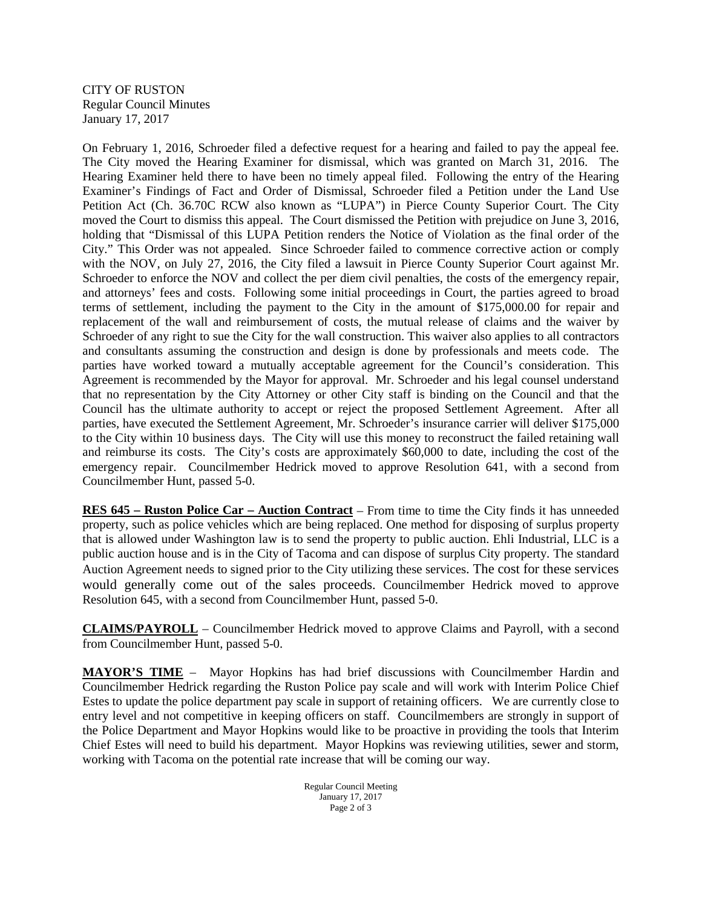CITY OF RUSTON Regular Council Minutes January 17, 2017

On February 1, 2016, Schroeder filed a defective request for a hearing and failed to pay the appeal fee. The City moved the Hearing Examiner for dismissal, which was granted on March 31, 2016. The Hearing Examiner held there to have been no timely appeal filed. Following the entry of the Hearing Examiner's Findings of Fact and Order of Dismissal, Schroeder filed a Petition under the Land Use Petition Act (Ch. 36.70C RCW also known as "LUPA") in Pierce County Superior Court. The City moved the Court to dismiss this appeal. The Court dismissed the Petition with prejudice on June 3, 2016, holding that "Dismissal of this LUPA Petition renders the Notice of Violation as the final order of the City." This Order was not appealed. Since Schroeder failed to commence corrective action or comply with the NOV, on July 27, 2016, the City filed a lawsuit in Pierce County Superior Court against Mr. Schroeder to enforce the NOV and collect the per diem civil penalties, the costs of the emergency repair, and attorneys' fees and costs. Following some initial proceedings in Court, the parties agreed to broad terms of settlement, including the payment to the City in the amount of \$175,000.00 for repair and replacement of the wall and reimbursement of costs, the mutual release of claims and the waiver by Schroeder of any right to sue the City for the wall construction. This waiver also applies to all contractors and consultants assuming the construction and design is done by professionals and meets code. The parties have worked toward a mutually acceptable agreement for the Council's consideration. This Agreement is recommended by the Mayor for approval. Mr. Schroeder and his legal counsel understand that no representation by the City Attorney or other City staff is binding on the Council and that the Council has the ultimate authority to accept or reject the proposed Settlement Agreement. After all parties, have executed the Settlement Agreement, Mr. Schroeder's insurance carrier will deliver \$175,000 to the City within 10 business days. The City will use this money to reconstruct the failed retaining wall and reimburse its costs. The City's costs are approximately \$60,000 to date, including the cost of the emergency repair. Councilmember Hedrick moved to approve Resolution 641, with a second from Councilmember Hunt, passed 5-0.

**RES 645 – Ruston Police Car – Auction Contract** – From time to time the City finds it has unneeded property, such as police vehicles which are being replaced. One method for disposing of surplus property that is allowed under Washington law is to send the property to public auction. Ehli Industrial, LLC is a public auction house and is in the City of Tacoma and can dispose of surplus City property. The standard Auction Agreement needs to signed prior to the City utilizing these services. The cost for these services would generally come out of the sales proceeds. Councilmember Hedrick moved to approve Resolution 645, with a second from Councilmember Hunt, passed 5-0.

**CLAIMS/PAYROLL** – Councilmember Hedrick moved to approve Claims and Payroll, with a second from Councilmember Hunt, passed 5-0.

**MAYOR'S TIME** – Mayor Hopkins has had brief discussions with Councilmember Hardin and Councilmember Hedrick regarding the Ruston Police pay scale and will work with Interim Police Chief Estes to update the police department pay scale in support of retaining officers. We are currently close to entry level and not competitive in keeping officers on staff. Councilmembers are strongly in support of the Police Department and Mayor Hopkins would like to be proactive in providing the tools that Interim Chief Estes will need to build his department. Mayor Hopkins was reviewing utilities, sewer and storm, working with Tacoma on the potential rate increase that will be coming our way.

> Regular Council Meeting January 17, 2017 Page 2 of 3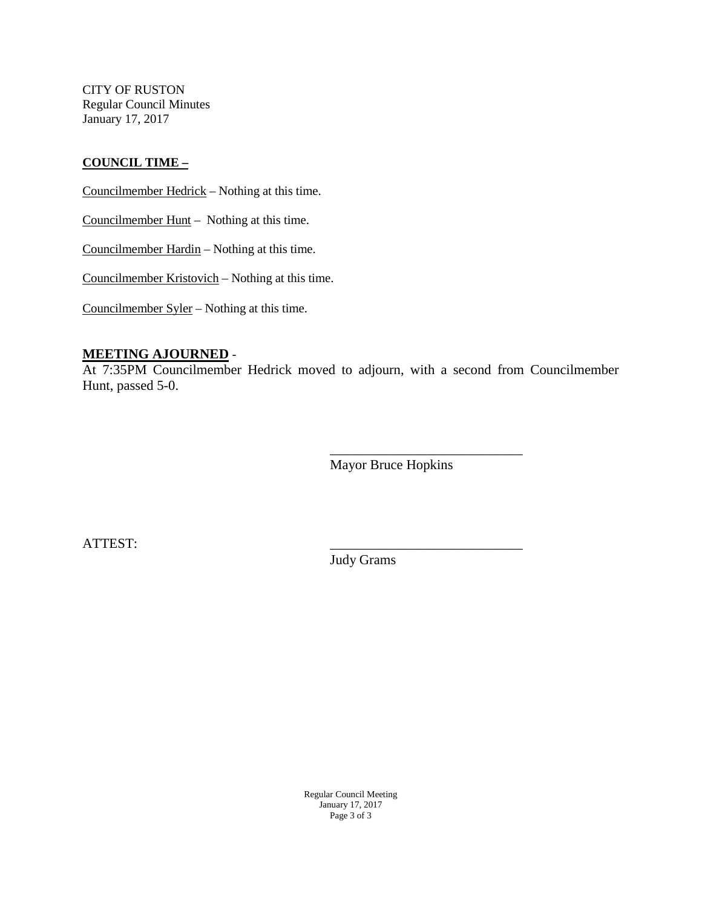CITY OF RUSTON Regular Council Minutes January 17, 2017

#### **COUNCIL TIME –**

Councilmember Hedrick – Nothing at this time.

Councilmember Hunt – Nothing at this time.

Councilmember Hardin – Nothing at this time.

Councilmember Kristovich – Nothing at this time.

Councilmember Syler – Nothing at this time.

#### **MEETING AJOURNED** -

At 7:35PM Councilmember Hedrick moved to adjourn, with a second from Councilmember Hunt, passed 5-0.

> \_\_\_\_\_\_\_\_\_\_\_\_\_\_\_\_\_\_\_\_\_\_\_\_\_\_\_\_ Mayor Bruce Hopkins

ATTEST: \_\_\_\_\_\_\_\_\_\_\_\_\_\_\_\_\_\_\_\_\_\_\_\_\_\_\_\_

Judy Grams

Regular Council Meeting January 17, 2017 Page 3 of 3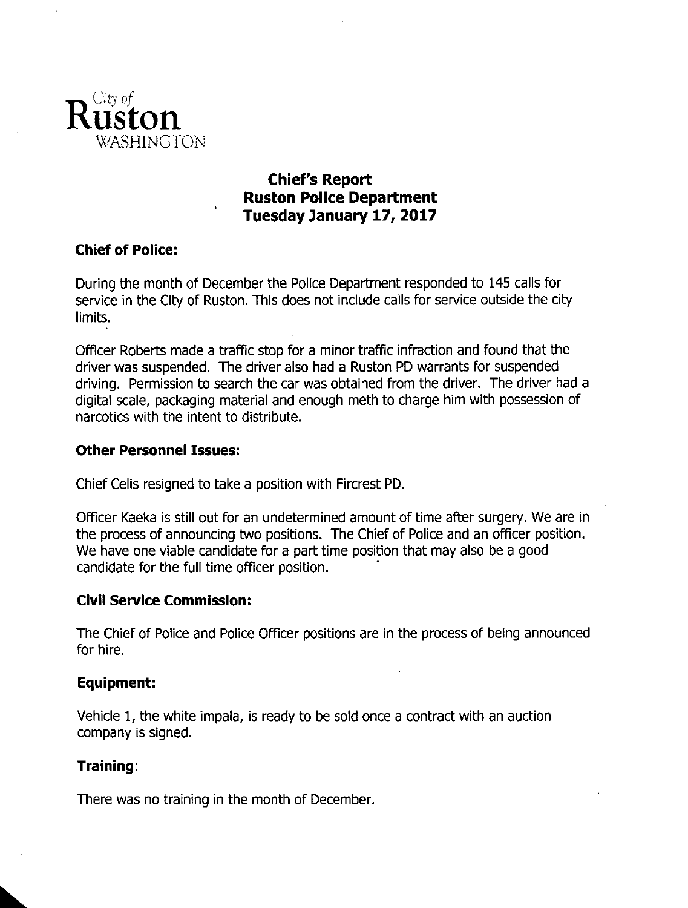

# **Chief's Report Ruston Police Department** Tuesday January 17, 2017

## **Chief of Police:**

During the month of December the Police Department responded to 145 calls for service in the City of Ruston. This does not include calls for service outside the city limits.

Officer Roberts made a traffic stop for a minor traffic infraction and found that the driver was suspended. The driver also had a Ruston PD warrants for suspended driving. Permission to search the car was obtained from the driver. The driver had a digital scale, packaging material and enough meth to charge him with possession of narcotics with the intent to distribute.

### **Other Personnel Issues:**

Chief Celis resigned to take a position with Fircrest PD.

Officer Kaeka is still out for an undetermined amount of time after surgery. We are in the process of announcing two positions. The Chief of Police and an officer position. We have one viable candidate for a part time position that may also be a good candidate for the full time officer position.

### **Civil Service Commission:**

The Chief of Police and Police Officer positions are in the process of being announced for hire.

### **Equipment:**

Vehicle 1, the white impala, is ready to be sold once a contract with an auction company is signed.

### Training:

There was no training in the month of December.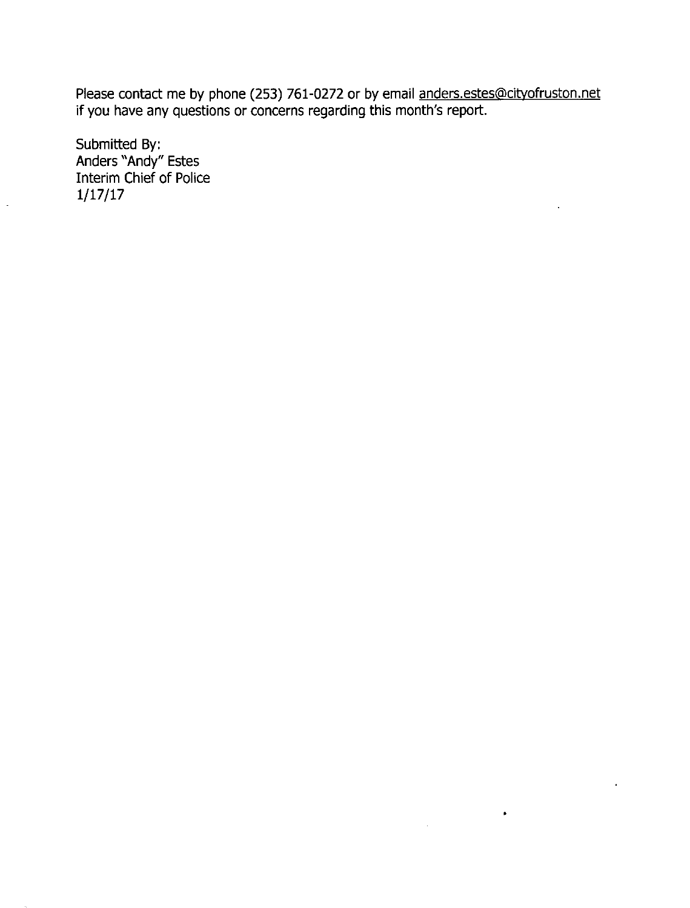Please contact me by phone (253) 761-0272 or by email anders.estes@cityofruston.net if you have any questions or concerns regarding this month's report.

 $\bullet$ 

Submitted By:<br>Anders "Andy" Estes Interim Chief of Police  $1/17/17$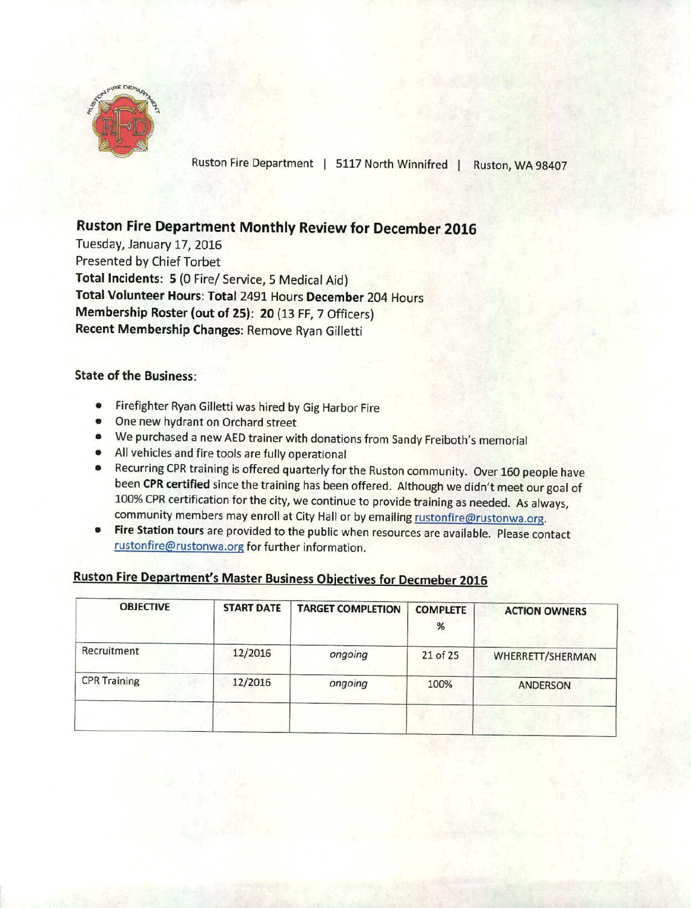

Ruston Fire Department | 5117 North Winnifred | Ruston, WA 98407

# **Ruston Fire Department Monthly Review for December 2016**

Tuesday, January 17, 2016 Presented by Chief Torbet Total Incidents: 5 (0 Fire/ Service, 5 Medical Aid) Total Volunteer Hours: Total 2491 Hours December 204 Hours Membership Roster (out of 25): 20 (13 FF, 7 Officers) Recent Membership Changes: Remove Ryan Gilletti

#### **State of the Business:**

- $\bullet$ Firefighter Ryan Gilletti was hired by Gig Harbor Fire
- One new hydrant on Orchard street
- We purchased a new AED trainer with donations from Sandy Freiboth's memorial
- All vehicles and fire tools are fully operational
- Recurring CPR training is offered quarterly for the Ruston community. Over 160 people have been CPR certified since the training has been offered. Although we didn't meet our goal of 100% CPR certification for the city, we continue to provide training as needed. As always, community members may enroll at City Hall or by emailing rustonfire@rustonwa.org.
- Fire Station tours are provided to the public when resources are available. Please contact  $\bullet$ rustonfire@rustonwa.org for further information.

# Ruston Fire Department's Master Business Objectives for Decmeber 2016

| <b>OBJECTIVE</b>    | <b>START DATE</b> | <b>TARGET COMPLETION</b> | <b>COMPLETE</b><br>$\%$ | <b>ACTION OWNERS</b> |
|---------------------|-------------------|--------------------------|-------------------------|----------------------|
| Recruitment         | 12/2016           | ongoing                  | 21 of 25                | WHERRETT/SHERMAN     |
| <b>CPR Training</b> | 12/2016           | ongoing                  | 100%                    | ANDERSON             |
|                     |                   |                          |                         |                      |